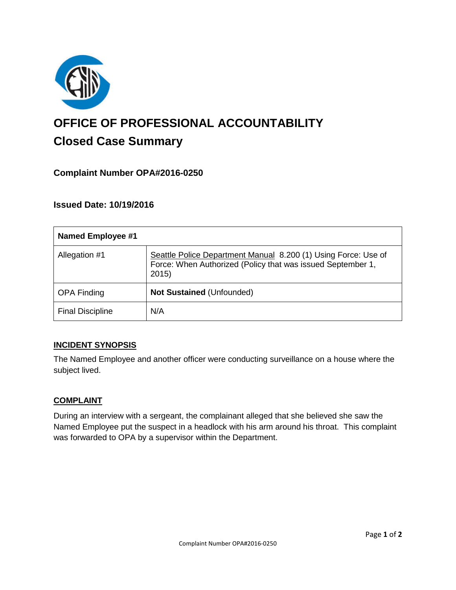

# **OFFICE OF PROFESSIONAL ACCOUNTABILITY Closed Case Summary**

# **Complaint Number OPA#2016-0250**

## **Issued Date: 10/19/2016**

| <b>Named Employee #1</b> |                                                                                                                                        |
|--------------------------|----------------------------------------------------------------------------------------------------------------------------------------|
| Allegation #1            | Seattle Police Department Manual 8.200 (1) Using Force: Use of<br>Force: When Authorized (Policy that was issued September 1,<br>2015) |
| <b>OPA Finding</b>       | <b>Not Sustained (Unfounded)</b>                                                                                                       |
| <b>Final Discipline</b>  | N/A                                                                                                                                    |

## **INCIDENT SYNOPSIS**

The Named Employee and another officer were conducting surveillance on a house where the subject lived.

#### **COMPLAINT**

During an interview with a sergeant, the complainant alleged that she believed she saw the Named Employee put the suspect in a headlock with his arm around his throat. This complaint was forwarded to OPA by a supervisor within the Department.